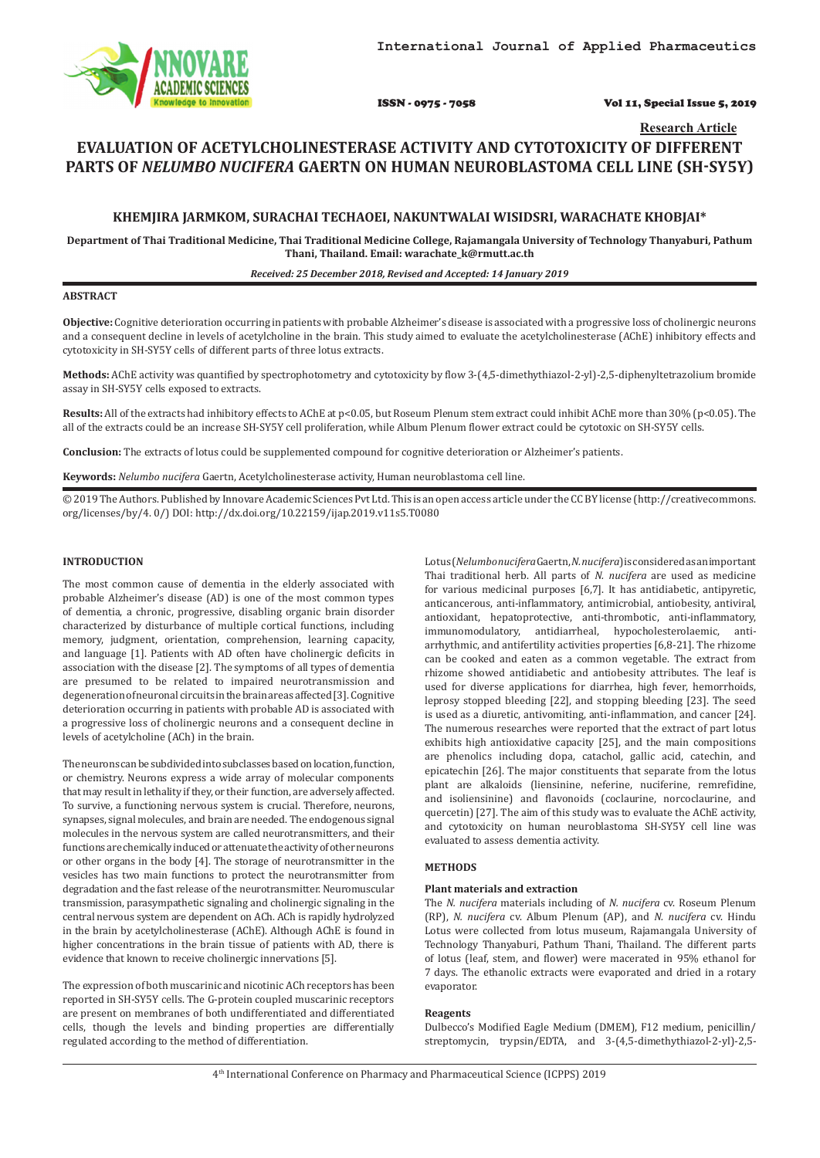ISSN - 0975 - 7058 Vol 11, Special Issue 5, 2019

**Research Article**

# **EVALUATION OF ACETYLCHOLINESTERASE ACTIVITY AND CYTOTOXICITY OF DIFFERENT PARTS OF** *NELUMBO NUCIFERA* **GAERTN ON HUMAN NEUROBLASTOMA CELL LINE (SH-SY5Y)**

# **KHEMJIRA JARMKOM, SURACHAI TECHAOEI, NAKUNTWALAI WISIDSRI, WARACHATE KHOBJAI\***

**Department of Thai Traditional Medicine, Thai Traditional Medicine College, Rajamangala University of Technology Thanyaburi, Pathum Thani, Thailand. Email: warachate\_k@rmutt.ac.th**

#### *Received: 25 December 2018, Revised and Accepted: 14 January 2019*

#### **ABSTRACT**

**Objective:** Cognitive deterioration occurring in patients with probable Alzheimer's disease is associated with a progressive loss of cholinergic neurons and a consequent decline in levels of acetylcholine in the brain. This study aimed to evaluate the acetylcholinesterase (AChE) inhibitory effects and cytotoxicity in SH-SY5Y cells of different parts of three lotus extracts.

**Methods:** AChE activity was quantified by spectrophotometry and cytotoxicity by flow 3-(4,5-dimethythiazol-2-yl)-2,5-diphenyltetrazolium bromide assay in SH-SY5Y cells exposed to extracts.

**Results:** All of the extracts had inhibitory effects to AChE at p<0.05, but Roseum Plenum stem extract could inhibit AChE more than 30% (p<0.05). The all of the extracts could be an increase SH-SY5Y cell proliferation, while Album Plenum flower extract could be cytotoxic on SH-SY5Y cells.

**Conclusion:** The extracts of lotus could be supplemented compound for cognitive deterioration or Alzheimer's patients.

**Keywords:** *Nelumbo nucifera* Gaertn, Acetylcholinesterase activity, Human neuroblastoma cell line.

© 2019 The Authors. Published by Innovare Academic Sciences Pvt Ltd. This is an open access article under the CC BY license (http://creativecommons. org/licenses/by/4. 0/) DOI: http://dx.doi.org/10.22159/ijap.2019.v11s5.T0080

# **INTRODUCTION**

The most common cause of dementia in the elderly associated with probable Alzheimer's disease (AD) is one of the most common types of dementia, a chronic, progressive, disabling organic brain disorder characterized by disturbance of multiple cortical functions, including memory, judgment, orientation, comprehension, learning capacity, and language [1]. Patients with AD often have cholinergic deficits in association with the disease [2]. The symptoms of all types of dementia are presumed to be related to impaired neurotransmission and degeneration of neuronal circuits in the brain areas affected [3]. Cognitive deterioration occurring in patients with probable AD is associated with a progressive loss of cholinergic neurons and a consequent decline in levels of acetylcholine (ACh) in the brain.

The neurons can be subdivided into subclasses based on location, function, or chemistry. Neurons express a wide array of molecular components that may result in lethality if they, or their function, are adversely affected. To survive, a functioning nervous system is crucial. Therefore, neurons, synapses, signal molecules, and brain are needed. The endogenous signal molecules in the nervous system are called neurotransmitters, and their functions are chemically induced or attenuate the activity of other neurons or other organs in the body [4]. The storage of neurotransmitter in the vesicles has two main functions to protect the neurotransmitter from degradation and the fast release of the neurotransmitter. Neuromuscular transmission, parasympathetic signaling and cholinergic signaling in the central nervous system are dependent on ACh. ACh is rapidly hydrolyzed in the brain by acetylcholinesterase (AChE). Although AChE is found in higher concentrations in the brain tissue of patients with AD, there is evidence that known to receive cholinergic innervations [5].

The expression of both muscarinic and nicotinic ACh receptors has been reported in SH-SY5Y cells. The G-protein coupled muscarinic receptors are present on membranes of both undifferentiated and differentiated cells, though the levels and binding properties are differentially regulated according to the method of differentiation.

Lotus (*Nelumbo nucifera* Gaertn, *N. nucifera*) is considered as an important Thai traditional herb. All parts of *N. nucifera* are used as medicine for various medicinal purposes [6,7]. It has antidiabetic, antipyretic, anticancerous, anti-inflammatory, antimicrobial, antiobesity, antiviral, antioxidant, hepatoprotective, anti-thrombotic, anti-inflammatory, immunomodulatory, antidiarrheal, hypocholesterolaemic, antiarrhythmic, and antifertility activities properties [6,8-21]. The rhizome can be cooked and eaten as a common vegetable. The extract from rhizome showed antidiabetic and antiobesity attributes. The leaf is used for diverse applications for diarrhea, high fever, hemorrhoids, leprosy stopped bleeding [22], and stopping bleeding [23]. The seed is used as a diuretic, antivomiting, anti-inflammation, and cancer [24]. The numerous researches were reported that the extract of part lotus exhibits high antioxidative capacity [25], and the main compositions are phenolics including dopa, catachol, gallic acid, catechin, and epicatechin [26]. The major constituents that separate from the lotus plant are alkaloids (liensinine, neferine, nuciferine, remrefidine, and isoliensinine) and flavonoids (coclaurine, norcoclaurine, and quercetin) [27]. The aim of this study was to evaluate the AChE activity, and cytotoxicity on human neuroblastoma SH-SY5Y cell line was evaluated to assess dementia activity.

### **METHODS**

#### **Plant materials and extraction**

The *N. nucifera* materials including of *N. nucifera* cv. Roseum Plenum (RP), *N. nucifera* cv. Album Plenum (AP), and *N. nucifera* cv. Hindu Lotus were collected from lotus museum, Rajamangala University of Technology Thanyaburi, Pathum Thani, Thailand. The different parts of lotus (leaf, stem, and flower) were macerated in 95% ethanol for 7 days. The ethanolic extracts were evaporated and dried in a rotary evaporator.

#### **Reagents**

Dulbecco's Modified Eagle Medium (DMEM), F12 medium, penicillin/ streptomycin, trypsin/EDTA, and 3-(4,5-dimethythiazol-2-yl)-2,5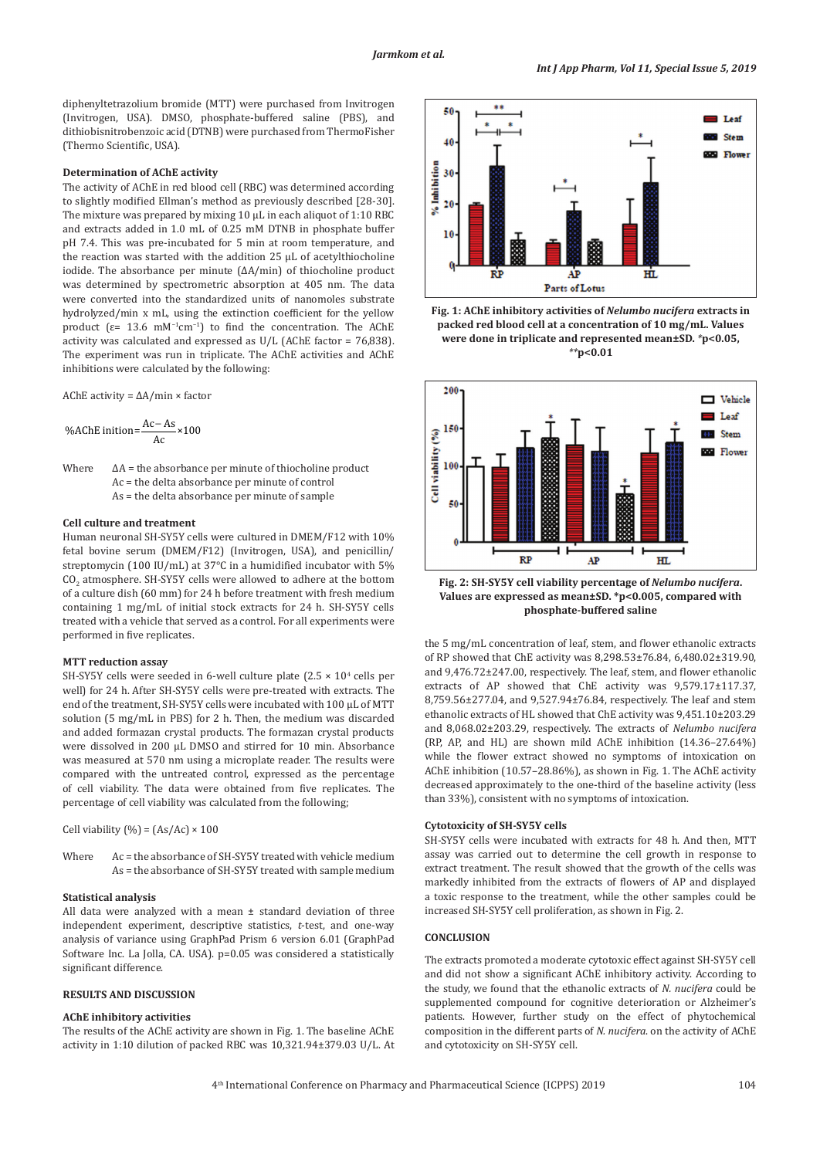diphenyltetrazolium bromide (MTT) were purchased from Invitrogen (Invitrogen, USA). DMSO, phosphate-buffered saline (PBS), and dithiobisnitrobenzoic acid (DTNB) were purchased from ThermoFisher (Thermo Scientific, USA).

# **Determination of AChE activity**

The activity of AChE in red blood cell (RBC) was determined according to slightly modified Ellman's method as previously described [28-30]. The mixture was prepared by mixing 10 μL in each aliquot of 1:10 RBC and extracts added in 1.0 mL of 0.25 mM DTNB in phosphate buffer pH 7.4. This was pre-incubated for 5 min at room temperature, and the reaction was started with the addition 25 μL of acetylthiocholine iodide. The absorbance per minute (ΔA/min) of thiocholine product was determined by spectrometric absorption at 405 nm. The data were converted into the standardized units of nanomoles substrate hydrolyzed/min x mL, using the extinction coefficient for the yellow product ( $\epsilon$ = 13.6 mM<sup>-1</sup>cm<sup>-1</sup>) to find the concentration. The AChE activity was calculated and expressed as U/L (AChE factor = 76,838). The experiment was run in triplicate. The AChE activities and AChE inhibitions were calculated by the following:

AChE activity = ΔA/min × factor

%AChE initiation=
$$
\frac{Ac-As}{Ac} \times 100
$$

Where  $\Delta A$  = the absorbance per minute of thiocholine product Ac = the delta absorbance per minute of control As = the delta absorbance per minute of sample

#### **Cell culture and treatment**

Human neuronal SH-SY5Y cells were cultured in DMEM/F12 with 10% fetal bovine serum (DMEM/F12) (Invitrogen, USA), and penicillin/ streptomycin (100 IU/mL) at 37°C in a humidified incubator with 5%  $CO<sub>2</sub>$  atmosphere. SH-SY5Y cells were allowed to adhere at the bottom of a culture dish (60 mm) for 24 h before treatment with fresh medium containing 1 mg/mL of initial stock extracts for 24 h. SH-SY5Y cells treated with a vehicle that served as a control. For all experiments were performed in five replicates.

#### **MTT reduction assay**

SH-SY5Y cells were seeded in 6-well culture plate (2.5  $\times$  10<sup>4</sup> cells per well) for 24 h. After SH-SY5Y cells were pre-treated with extracts. The end of the treatment, SH-SY5Y cells were incubated with 100 μL of MTT solution (5 mg/mL in PBS) for 2 h. Then, the medium was discarded and added formazan crystal products. The formazan crystal products were dissolved in 200 μL DMSO and stirred for 10 min. Absorbance was measured at 570 nm using a microplate reader. The results were compared with the untreated control, expressed as the percentage of cell viability. The data were obtained from five replicates. The percentage of cell viability was calculated from the following;

Cell viability  $(\%)=(As/Ac) \times 100$ 

Where Ac = the absorbance of SH-SY5Y treated with vehicle medium As = the absorbance of SH-SY5Y treated with sample medium

#### **Statistical analysis**

All data were analyzed with a mean ± standard deviation of three independent experiment, descriptive statistics, *t*-test, and one-way analysis of variance using GraphPad Prism 6 version 6.01 (GraphPad Software Inc. La Jolla, CA. USA). p=0.05 was considered a statistically significant difference.

# **RESULTS AND DISCUSSION**

### **AChE inhibitory activities**

The results of the AChE activity are shown in Fig. 1. The baseline AChE activity in 1:10 dilution of packed RBC was 10,321.94±379.03 U/L. At







**Fig. 2: SH-SY5Y cell viability percentage of** *Nelumbo nucifera***. Values are expressed as mean±SD. \*p<0.005, compared with phosphate-buffered saline**

the 5 mg/mL concentration of leaf, stem, and flower ethanolic extracts of RP showed that ChE activity was 8,298.53±76.84, 6,480.02±319.90, and 9,476.72±247.00, respectively. The leaf, stem, and flower ethanolic extracts of AP showed that ChE activity was 9,579.17±117.37, 8,759.56±277.04, and 9,527.94±76.84, respectively. The leaf and stem ethanolic extracts of HL showed that ChE activity was 9,451.10±203.29 and 8,068.02±203.29, respectively. The extracts of *Nelumbo nucifera*  (RP, AP, and HL) are shown mild AChE inhibition (14.36–27.64%) while the flower extract showed no symptoms of intoxication on AChE inhibition (10.57–28.86%), as shown in Fig. 1. The AChE activity decreased approximately to the one-third of the baseline activity (less than 33%), consistent with no symptoms of intoxication.

#### **Cytotoxicity of SH-SY5Y cells**

SH-SY5Y cells were incubated with extracts for 48 h. And then, MTT assay was carried out to determine the cell growth in response to extract treatment. The result showed that the growth of the cells was markedly inhibited from the extracts of flowers of AP and displayed a toxic response to the treatment, while the other samples could be increased SH-SY5Y cell proliferation, as shown in Fig. 2.

# **CONCLUSION**

The extracts promoted a moderate cytotoxic effect against SH-SY5Y cell and did not show a significant AChE inhibitory activity. According to the study, we found that the ethanolic extracts of *N. nucifera* could be supplemented compound for cognitive deterioration or Alzheimer's patients. However, further study on the effect of phytochemical composition in the different parts of *N. nucifera*. on the activity of AChE and cytotoxicity on SH-SY5Y cell.